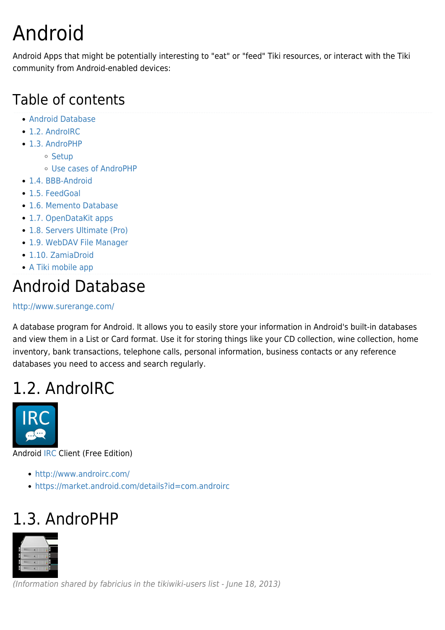# Android

Android Apps that might be potentially interesting to "eat" or "feed" Tiki resources, or interact with the Tiki community from Android-enabled devices:

#### Table of contents

- [Android Database](#page--1-0)
- [1.2. AndroIRC](#page--1-0)
- [1.3. AndroPHP](#page--1-0)
	- o [Setup](#page--1-0)
	- [Use cases of AndroPHP](#page--1-0)
- [1.4. BBB-Android](#page--1-0)
- [1.5. FeedGoal](#page--1-0)
- [1.6. Memento Database](#page--1-0)
- [1.7. OpenDataKit apps](#page--1-0)
- [1.8. Servers Ultimate \(Pro\)](#page--1-0)
- [1.9. WebDAV File Manager](#page--1-0)
- [1.10. ZamiaDroid](#page--1-0)
- [A Tiki mobile app](#page--1-0)

#### Android Database

#### <http://www.surerange.com/>

A database program for Android. It allows you to easily store your information in Android's built-in databases and view them in a List or Card format. Use it for storing things like your CD collection, wine collection, home inventory, bank transactions, telephone calls, personal information, business contacts or any reference databases you need to access and search regularly.

#### 1.2. AndroIRC



Android [IRC](https://tiki.org/Connecting-To-IRC) Client (Free Edition)

- <http://www.androirc.com/>
- <https://market.android.com/details?id=com.androirc>

## 1.3. AndroPHP



(Information shared by fabricius in the tikiwiki-users list - June 18, 2013)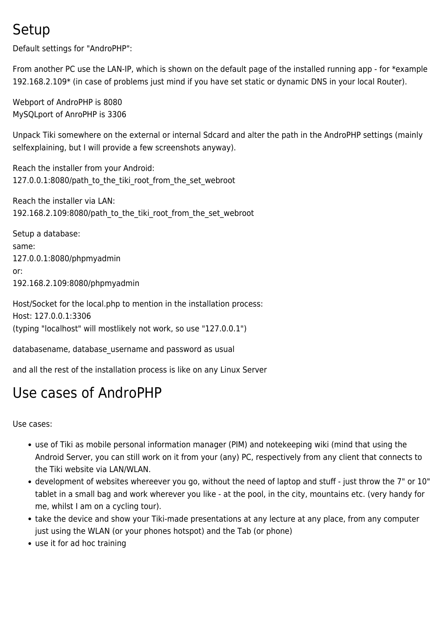#### Setup

Default settings for "AndroPHP":

From another PC use the LAN-IP, which is shown on the default page of the installed running app - for \*example 192.168.2.109\* (in case of problems just mind if you have set static or dynamic DNS in your local Router).

Webport of AndroPHP is 8080 MySQLport of AnroPHP is 3306

Unpack Tiki somewhere on the external or internal Sdcard and alter the path in the AndroPHP settings (mainly selfexplaining, but I will provide a few screenshots anyway).

Reach the installer from your Android: 127.0.0.1:8080/path\_to\_the\_tiki\_root\_from\_the\_set\_webroot

Reach the installer via LAN: 192.168.2.109:8080/path\_to\_the\_tiki\_root\_from\_the\_set\_webroot

Setup a database: same: 127.0.0.1:8080/phpmyadmin or: 192.168.2.109:8080/phpmyadmin

Host/Socket for the local.php to mention in the installation process: Host: 127.0.0.1:3306 (typing "localhost" will mostlikely not work, so use "127.0.0.1")

databasename, database username and password as usual

and all the rest of the installation process is like on any Linux Server

#### Use cases of AndroPHP

Use cases:

- use of Tiki as mobile personal information manager (PIM) and notekeeping wiki (mind that using the Android Server, you can still work on it from your (any) PC, respectively from any client that connects to the Tiki website via LAN/WLAN.
- development of websites whereever you go, without the need of laptop and stuff just throw the 7" or 10" tablet in a small bag and work wherever you like - at the pool, in the city, mountains etc. (very handy for me, whilst I am on a cycling tour).
- take the device and show your Tiki-made presentations at any lecture at any place, from any computer just using the WLAN (or your phones hotspot) and the Tab (or phone)
- use it for ad hoc training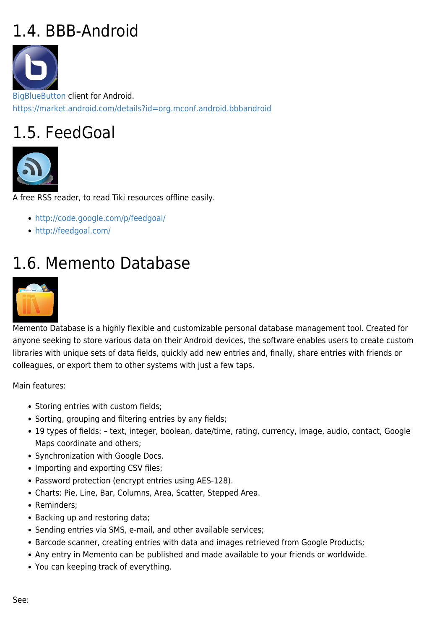## 1.4. BBB-Android



[BigBlueButton](https://tiki.org/BigBlueButton) client for Android. <https://market.android.com/details?id=org.mconf.android.bbbandroid>

## 1.5. FeedGoal



A free RSS reader, to read Tiki resources offline easily.

- <http://code.google.com/p/feedgoal/>
- <http://feedgoal.com/>

### 1.6. Memento Database



Memento Database is a highly flexible and customizable personal database management tool. Created for anyone seeking to store various data on their Android devices, the software enables users to create custom libraries with unique sets of data fields, quickly add new entries and, finally, share entries with friends or colleagues, or export them to other systems with just a few taps.

Main features:

- Storing entries with custom fields;
- Sorting, grouping and filtering entries by any fields;
- 19 types of fields: text, integer, boolean, date/time, rating, currency, image, audio, contact, Google Maps coordinate and others;
- Synchronization with Google Docs.
- Importing and exporting CSV files;
- Password protection (encrypt entries using AES-128).
- Charts: Pie, Line, Bar, Columns, Area, Scatter, Stepped Area.
- Reminders:
- Backing up and restoring data;
- Sending entries via SMS, e-mail, and other available services;
- Barcode scanner, creating entries with data and images retrieved from Google Products;
- Any entry in Memento can be published and made available to your friends or worldwide.
- You can keeping track of everything.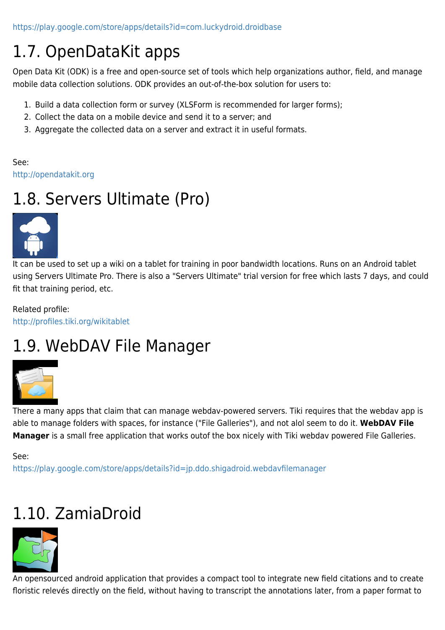<https://play.google.com/store/apps/details?id=com.luckydroid.droidbase>

## 1.7. OpenDataKit apps

Open Data Kit (ODK) is a free and open-source set of tools which help organizations author, field, and manage mobile data collection solutions. ODK provides an out-of-the-box solution for users to:

- 1. Build a data collection form or survey (XLSForm is recommended for larger forms);
- 2. Collect the data on a mobile device and send it to a server; and
- 3. Aggregate the collected data on a server and extract it in useful formats.

See: <http://opendatakit.org>

## 1.8. Servers Ultimate (Pro)



It can be used to set up a wiki on a tablet for training in poor bandwidth locations. Runs on an Android tablet using Servers Ultimate Pro. There is also a "Servers Ultimate" trial version for free which lasts 7 days, and could fit that training period, etc.

Related profile: <http://profiles.tiki.org/wikitablet>

### 1.9. WebDAV File Manager



There a many apps that claim that can manage webdav-powered servers. Tiki requires that the webdav app is able to manage folders with spaces, for instance ("File Galleries"), and not alol seem to do it. **WebDAV File Manager** is a small free application that works outof the box nicely with Tiki webdav powered File Galleries.

See:

<https://play.google.com/store/apps/details?id=jp.ddo.shigadroid.webdavfilemanager>

## 1.10. ZamiaDroid



An opensourced android application that provides a compact tool to integrate new field citations and to create floristic relevés directly on the field, without having to transcript the annotations later, from a paper format to